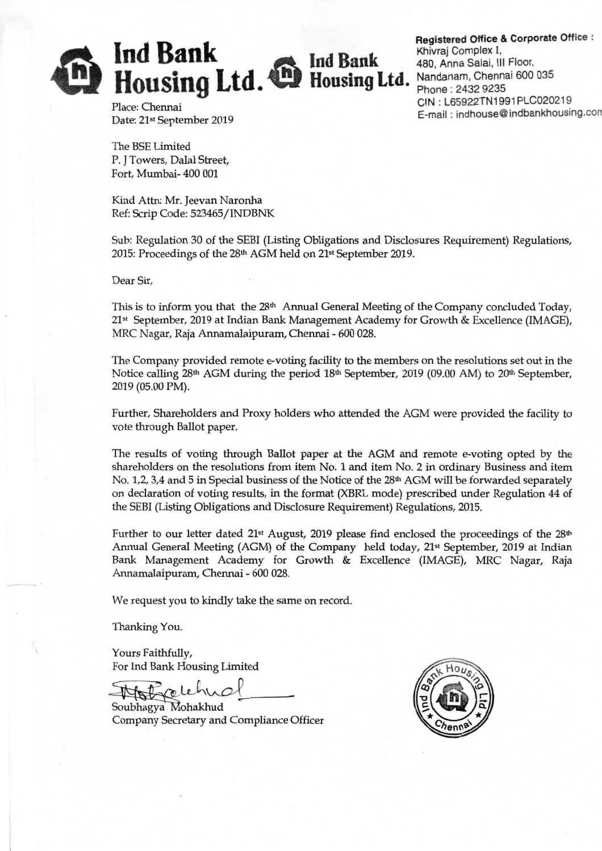$\sum$  Ind Bank Ind Bank Housing Ltd. <sup>**D**</sup> Housing Ltd.

Registered Office & Corporate Office : Khivraj Complex I, 480, Anna Salai, Ill Floor, Nandanam, Chennai 600 035 Phone : 2432 9235 CIN: L65922TN1991PLC020219 E-mail: indhouse@indbankhousing.con

Place: Chennai Date: 21st September 2019

The BSE Limited P. J Towers, Dalal Street, Fort, Mumbai- 400 001

Kind Attn: Mr. Jeevan Naronha Ref: Scrip Code: 523465/INDBNK

Sub: Regulation 30 of the SEBI (Listing Obligations and Disclosures Requirement) Regulations, 2015: Proceedings of the 28th AGM held on 21st September 2019.

Dear Sir,

This is to inform you that the 28<sup>th</sup> Annual General Meeting of the Company concluded Today, 21st September, 2019 at Indian Bank Management Academy for Growth & Excellence (IMAGE), MRC Nagar, Raja Annamalaipuram, Chennai - 600 028.

The Company provided remote e-voting facility to the members on the resolutions set out in the Notice calling  $28<sup>th</sup>$  AGM during the period  $18<sup>th</sup>$  September, 2019 (09.00 AM) to  $20<sup>th</sup>$  September, 2019 (05.00 PM).

Further, Shareholders and Proxy holders who attended the AGM were provided the facility to vote through Ballot paper.

The results of voting through Ballot paper at the AGM and remote e-voting opted by the shareholders on the resolutions from item No. 1 and item No. 2 in ordinary Business and item No. 1,2, 3,4 and 5 in Special business of the Notice of the 28<sup>th</sup> AGM will be forwarded separately on declaration of voting results, in the format (XBRL mode) prescribed under Regulation 44 of the SEBI (Listing Obligations and Disclosure Requirement) Regulations, 2015.

Further to our letter dated 21<sup>st</sup> August, 2019 please find enclosed the proceedings of the 28<sup>th</sup> Annual General Meeting (AGM) of the Company held today, 21<sup>st</sup> September, 2019 at Indian Bank Management Academy for Growth & Excellence (IMAGE), MRC Nagar, Raja Annamalaipuram, Chennai - 600 028.

We request you to kindly take the same on record.

Thanking You.

Yours Faithfully, For Ind Bank Housing Limited

We request you to kindly take the same<br>Thanking You.<br>Yours Faithfully,<br>For Ind Bank Housing Limited<br>Soubhagya Mohakhud<br>Company Secretary and Compliance Of

Soubhagya Mohakhud<br>Company Secretary and Compliance Officer

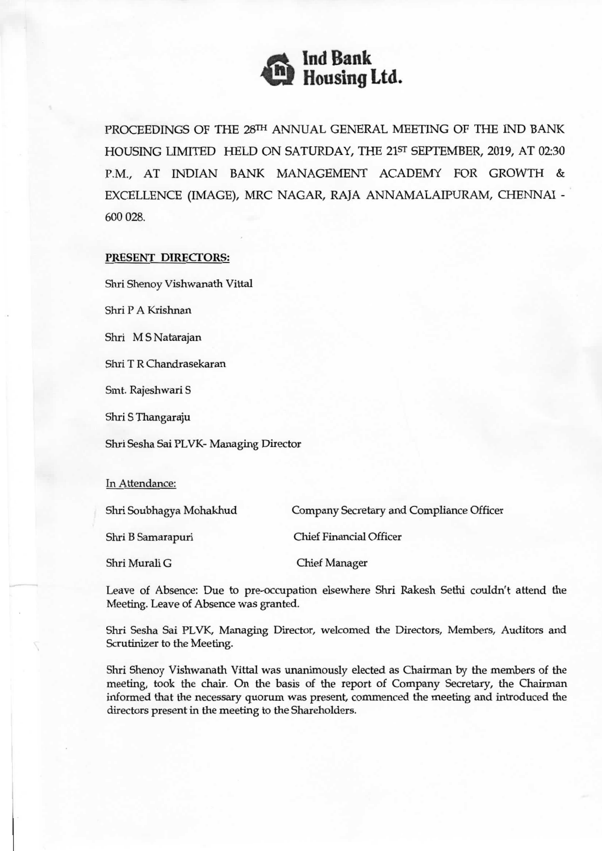

PROCEEDINGS OF THE 28TH ANNUAL GENERAL MEETING OF THE IND BANK HOUSING LIMITED HELD ON SATURDAY, THE 21sr SEPTEMBER, 2019, AT 02:30 P.M., AT INDIAN BANK MANAGEMENT ACADEMY FOR GROWTH & EXCELLENCE (IMAGE), MRC NAGAR, RAJA ANNAMALAIPURAM, CHENNAI - 600 028.

## PRESENT DIRECTORS:

Shri Shenoy Vishwanath Vittal

Shri P A Krishnan

Shri M S Natarajan

Shri T R Chandrasekaran

Smt. Rajeshwari S

Shri S Thangaraju

Shri Sesha Sai PLVK- Managing Director

In Attendance:

Shri Soubhagya Mohakhud Company Secretary and Compliance Officer

Shri B Samarapuri Chief Financial Officer

Shri Murali G Chief Manager

Leave of Absence: Due to pre-occupation elsewhere Shri Rakesh Sethi couldn't attend the Meeting. Leave of Absence was granted.

Shri Sesha Sai PLVK, Managing Director, welcomed the Directors, Members, Auditors and Scrutinizer to the Meeting.

Shri Shenoy Vishwanath Vittal was unanimously elected as Chairman by the members of the meeting, took the chair. On the basis of the report of Company Secretary, the Chairman informed that the necessary quorum was present, commenced the meeting and introduced the directors present in the meeting to the Shareholders.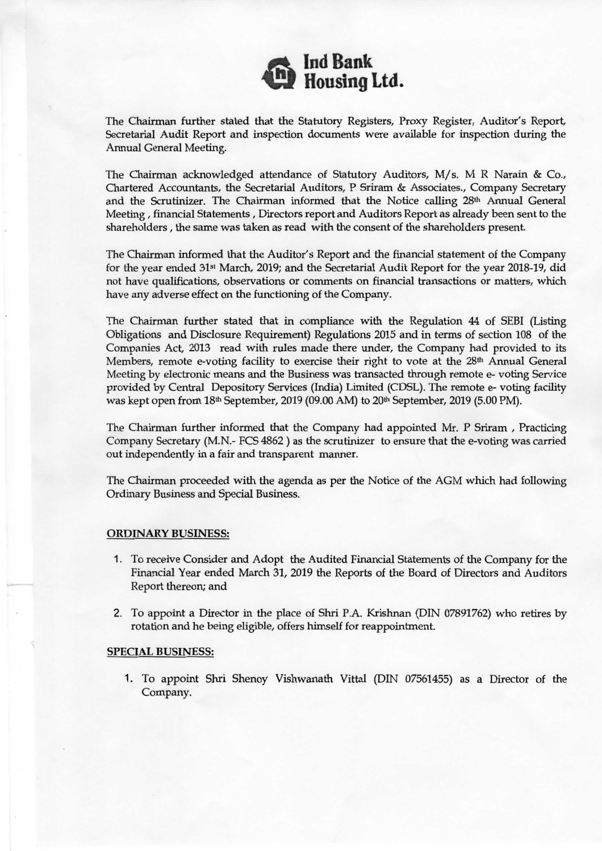

The Chairman further stated that the Statutory Registers, Proxy Register, Auditor's Report, Secretarial Audit Report and inspection documents were available for inspection during the Annual General Meeting.

The Chairman acknowledged attendance of Statutory Auditors, M/s. M R Narain & Co., Chartered Accountants, the Secretarial Auditors, P Sriram & Associates., Company Secretary and the Scrutinizer. The Chairman informed that the Notice calling 28<sup>th</sup> Annual General Meeting, financial Statements, Directors report and Auditors Report as already been sent to the shareholders, the same was taken as read with the consent of the shareholders present.

The Chairman informed that the Auditor's Report and the financial statement of the Company for the year ended 31st March, 2019; and the Secretarial Audit Report for the year 2018-19, did not have qualifications, observations or comments on financial transactions or matters, which have any adverse effect on the functioning of the Company.

The Chairman further stated that in compliance with the Regulation 44 of SEBI (Listing Obligations and Disclosure Requirement) Regulations 2015 and in terms of section 108 of the Companies Act, 2013 read with rules made there under, the Company had provided to its Members, remote e-voting facility to exercise their right to vote at the 28<sup>th</sup> Annual General Meeting by electronic means and the Business was transacted through remote e- voting Service provided by Central Depository Services (India) Limited (CDSL). The remote e- voting facility was kept open from  $18<sup>th</sup>$  September, 2019 (09.00 AM) to  $20<sup>th</sup>$  September, 2019 (5.00 PM).

The Chairman further informed that the Company had appointed Mr. P Sriram , Practicing Company Secretary (MN.- FCS 4862) as the scrutinizer to ensure that the e-voting was carried out independently in a fair and transparent manner.

The Chairman proceeded with the agenda as per the Notice of the AGM which had following Ordinary Business and Special Business.

## ORDINARY BUSINESS:

- 1. To receive Consider and Adopt the Audited Financial Statements of the Company for the Financial Year ended March 31, 2019 the Reports of the Board of Directors and Auditors Report thereon; and
- 2. To appoint a Director in the place of Shri P.A. Krishnan (DIN 07891762) who retires by rotation and he being eligible, offers himself for reappointment.

## SPECIAL BUSINESS:

1. To appoint Shri Shenoy Vishwanath Vittal (DIN 07561455) as a Director of the Company.